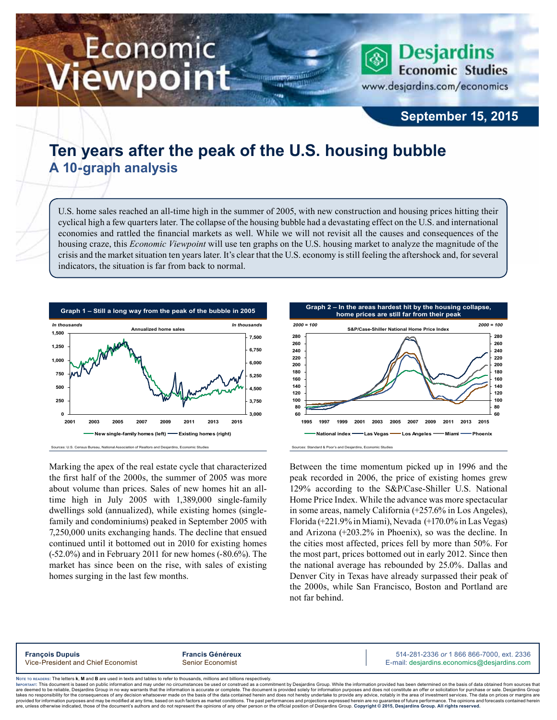# Economic ewpoint

**Desjardins Economic Studies** www.desjardins.com/economics

## **September 15, 2015**

# **Ten years after the peak of the U.S. housing bubble A 10-graph analysis**

U.S. home sales reached an all-time high in the summer of 2005, with new construction and housing prices hitting their cyclical high a few quarters later. The collapse of the housing bubble had a devastating effect on the U.S. and international economies and rattled the financial markets as well. While we will not revisit all the causes and consequences of the housing craze, this *Economic Viewpoint* will use ten graphs on the U.S. housing market to analyze the magnitude of the crisis and the market situation ten years later. It's clear that the U.S. economy is still feeling the aftershock and, for several indicators, the situation is far from back to normal.

,,,



Marking the apex of the real estate cycle that characterized the first half of the 2000s, the summer of 2005 was more about volume than prices. Sales of new homes hit an alltime high in July 2005 with 1,389,000 single-family dwellings sold (annualized), while existing homes (singlefamily and condominiums) peaked in September 2005 with 7,250,000 units exchanging hands. The decline that ensued continued until it bottomed out in 2010 for existing homes (-52.0%) and in February 2011 for new homes (-80.6%). The market has since been on the rise, with sales of existing homes surging in the last few months.



Between the time momentum picked up in 1996 and the peak recorded in 2006, the price of existing homes grew 129% according to the S&P/Case-Shiller U.S. National Home Price Index. While the advance was more spectacular in some areas, namely California (+257.6% in Los Angeles), Florida (+221.9% in Miami), Nevada (+170.0% in Las Vegas) and Arizona (+203.2% in Phoenix), so was the decline. In the cities most affected, prices fell by more than 50%. For the most part, prices bottomed out in early 2012. Since then the national average has rebounded by 25.0%. Dallas and Denver City in Texas have already surpassed their peak of the 2000s, while San Francisco, Boston and Portland are not far behind.

**François Dupuis Francis Généreux** 514-281-2336 *or* 1 866 866-7000, ext. 2336 Vice-President and Chief Economist Senior Economist Senior Economist E-mail: desjardins.economics@desjardins.com

Noте то келоекs: The letters **k, M** and **B** are used in texts and tables to refer to thousands, millions and billions respectively.<br>Імроктлит: This document is based on public information and may under no circumstances be are deemed to be reliable. Desiardins Group in no way warrants that the information is accurate or complete. The document is provided solely for information purposes and does not constitute an offer or solicitation for pur takes no responsibility for the consequences of any decision whatsoever made on the basis of the data contained herein and does not hereby undertake to provide any advice, notably in the area of investment services. The da .<br>are, unless otherwise indicated, those of the document's authors and do not represent the opinions of any other person or the official position of Desjardins Group. Copyright © 2015, Desjardins Group. All rights reserve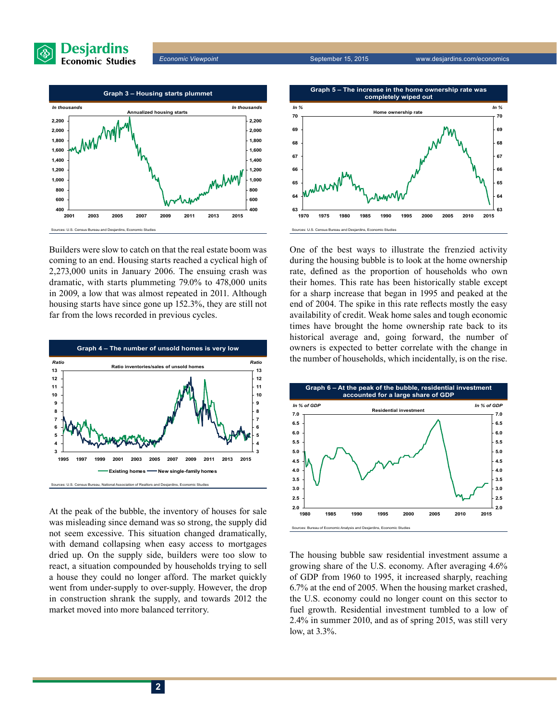

*Economic Viewpoint* September 15, 2015 www.desjardins.com/economics



Builders were slow to catch on that the real estate boom was coming to an end. Housing starts reached a cyclical high of 2,273,000 units in January 2006. The ensuing crash was dramatic, with starts plummeting 79.0% to 478,000 units in 2009, a low that was almost repeated in 2011. Although housing starts have since gone up 152.3%, they are still not far from the lows recorded in previous cycles.



At the peak of the bubble, the inventory of houses for sale was misleading since demand was so strong, the supply did not seem excessive. This situation changed dramatically, with demand collapsing when easy access to mortgages dried up. On the supply side, builders were too slow to react, a situation compounded by households trying to sell a house they could no longer afford. The market quickly went from under-supply to over-supply. However, the drop in construction shrank the supply, and towards 2012 the market moved into more balanced territory.

**Graph 5 – The increase in the home ownership rate was completely wiped out**



One of the best ways to illustrate the frenzied activity during the housing bubble is to look at the home ownership rate, defined as the proportion of households who own their homes. This rate has been historically stable except for a sharp increase that began in 1995 and peaked at the end of 2004. The spike in this rate reflects mostly the easy availability of credit. Weak home sales and tough economic times have brought the home ownership rate back to its historical average and, going forward, the number of owners is expected to better correlate with the change in the number of households, which incidentally, is on the rise.



The housing bubble saw residential investment assume a growing share of the U.S. economy. After averaging 4.6% of GDP from 1960 to 1995, it increased sharply, reaching 6.7% at the end of 2005. When the housing market crashed, the U.S. economy could no longer count on this sector to fuel growth. Residential investment tumbled to a low of 2.4% in summer 2010, and as of spring 2015, was still very low, at 3.3%.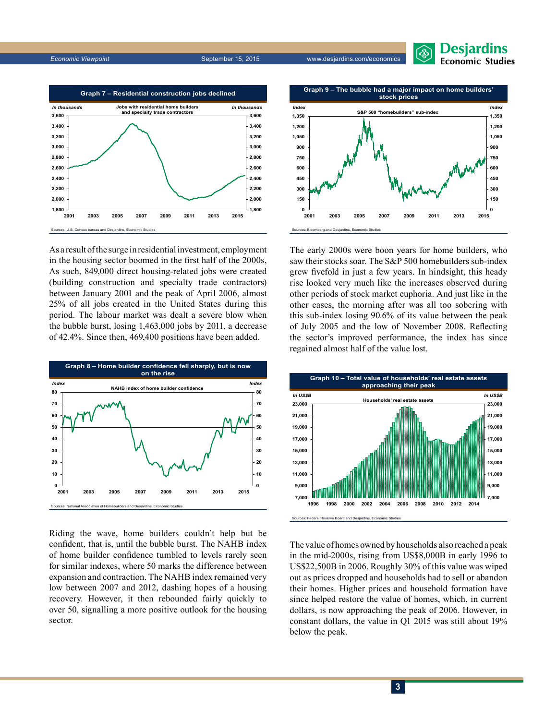*Economic Viewpoint* September 15, 2015 www.desjardins.com/economics



As a result of the surge in residential investment, employment in the housing sector boomed in the first half of the 2000s, As such, 849,000 direct housing-related jobs were created (building construction and specialty trade contractors) between January 2001 and the peak of April 2006, almost 25% of all jobs created in the United States during this period. The labour market was dealt a severe blow when the bubble burst, losing 1,463,000 jobs by 2011, a decrease of 42.4%. Since then, 469,400 positions have been added.



Riding the wave, home builders couldn't help but be confident, that is, until the bubble burst. The NAHB index of home builder confidence tumbled to levels rarely seen for similar indexes, where 50 marks the difference between expansion and contraction. The NAHB index remained very low between 2007 and 2012, dashing hopes of a housing recovery. However, it then rebounded fairly quickly to over 50, signalling a more positive outlook for the housing sector.



Desjardins **Economic Studies** 

The early 2000s were boon years for home builders, who saw their stocks soar. The S&P 500 homebuilders sub-index grew fivefold in just a few years. In hindsight, this heady rise looked very much like the increases observed during other periods of stock market euphoria. And just like in the other cases, the morning after was all too sobering with this sub-index losing 90.6% of its value between the peak of July 2005 and the low of November 2008. Reflecting the sector's improved performance, the index has since regained almost half of the value lost.



The value of homes owned by households also reached a peak in the mid‑2000s, rising from US\$8,000B in early 1996 to US\$22,500B in 2006. Roughly 30% of this value was wiped out as prices dropped and households had to sell or abandon their homes. Higher prices and household formation have since helped restore the value of homes, which, in current dollars, is now approaching the peak of 2006. However, in constant dollars, the value in Q1 2015 was still about 19% below the peak.

### **3**